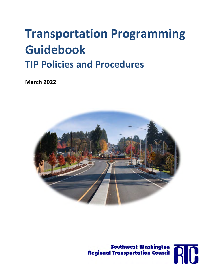# **Transportation Programming Guidebook TIP Policies and Procedures**

**March 2022**





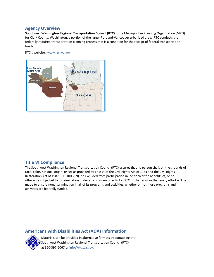#### **Agency Overview**

**Southwest Washington Regional Transportation Council (RTC)** is the Metropolitan Planning Organization (MPO) for Clark County, Washington, a portion of the larger Portland‐Vancouver urbanized area. RTC conducts the federally required transportation planning process that is a condition for the receipt of federal transportation funds.

RTC's website: www.rtc.wa.gov



#### **Title VI Compliance**

The Southwest Washington Regional Transportation Council (RTC) assures that no person shall, on the grounds of race, color, national origin, or sex as provided by Title VI of the Civil Rights Act of 1964 and the Civil Rights Restoration Act of 1987 (P.L. 100.259), be excluded from participation in, be denied the benefits of, or be otherwise subjected to discrimination under any program or activity. RTC further assures that every effort will be made to ensure nondiscrimination in all of its programs and activities, whether or not those programs and activities are federally funded.

#### **Americans with Disabilities Act (ADA) Information**



Materials can be provided in alternative formats by contacting the Southwest Washington Regional Transportation Council (RTC) at 360‐397‐6067 or info@rtc.wa.gov.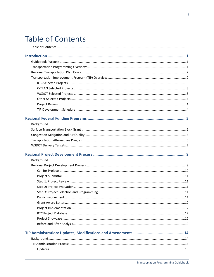## **Table of Contents**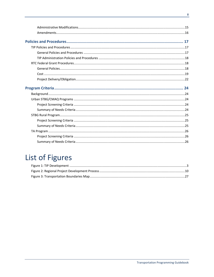## List of Figures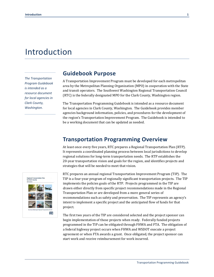## Introduction

*The Transportation Program Guidebook is intended as a resource document for local agencies in Clark County, Washington.* 

### **Guidebook Purpose**

A Transportation Improvement Program must be developed for each metropolitan area by the Metropolitan Planning Organization (MPO) in cooperation with the State and transit operators. The Southwest Washington Regional Transportation Council (RTC) is the federally designated MPO for the Clark County, Washington region.

The Transportation Programming Guidebook is intended as a resource document for local agencies in Clark County, Washington. The Guidebook provides member agencies background information, policies, and procedures for the development of the region's Transportation Improvement Program. The Guidebook is intended to be a working document that can be updated as needed.

## **Transportation Programming Overview**

At least once every five years, RTC prepares a Regional Transportation Plan (RTP). It represents a coordinated planning process between local jurisdictions to develop regional solutions for long-term transportation needs. The RTP establishes the 20-year transportation vision and goals for the region, and identifies projects and strategies that will be needed to meet that vision.



RTC prepares an annual regional Transportation Improvement Program (TIP). The TIP is a four-year program of regionally significant transportation projects. The TIP implements the policies goals of the RTP. Projects programmed in the TIP are drawn either directly from specific project recommendations made in the Regional Transportation Plan or are developed from a more general series of recommendations such as safety and preservation. The TIP represents an agency's intent to implement a specific project and the anticipated flow of funds for that project.

The first two years of the TIP are considered selected and the project sponsor can begin implementation of those projects when ready. Federally funded projects programmed in the TIP can be obligated through FHWA and FTA. The obligation of a federal highway project occurs when FHWA and WSDOT execute a project agreement or when FTA awards a grant. Once obligated, the project sponsor can start work and receive reimbursement for work incurred.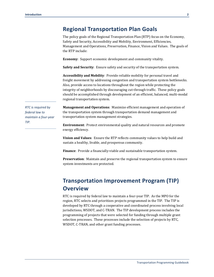## **Regional Transportation Plan Goals**

The policy goals of the Regional Transportation Plan (RTP) focus on the Economy, Safety and Security, Accessibility and Mobility, Environment, Efficiencies, Management and Operations, Preservation, Finance, Vision and Values. The goals of the RTP include:

**Economy**: Support economic development and community vitality.

**Safety and Security**: Ensure safety and security of the transportation system.

**Accessibility and Mobility**: Provide reliable mobility for personal travel and freight movement by addressing congestion and transportation system bottlenecks. Also, provide access to locations throughout the region while protecting the integrity of neighborhoods by discouraging cut-through traffic. These policy goals should be accomplished through development of an efficient, balanced, multi-modal regional transportation system.

*RTC is required by federal law to maintain a four‐year TIP.* 

**Management and Operations**: Maximize efficient management and operation of the transportation system through transportation demand management and transportation system management strategies.

**Environment**: Protect environmental quality and natural resources and promote energy efficiency.

**Vision and Values**: Ensure the RTP reflects community values to help build and sustain a healthy, livable, and prosperous community.

**Finance**: Provide a financially-viable and sustainable transportation system.

**Preservation**: Maintain and preserve the regional transportation system to ensure system investments are protected.

## **Transportation Improvement Program (TIP) Overview**

RTC is required by federal law to maintain a four-year TIP. As the MPO for the region, RTC selects and prioritizes projects programmed in the TIP. The TIP is developed by RTC through a cooperative and coordinated process involving local jurisdictions, WSDOT, and C-TRAN. The TIP development process includes the programming of projects that were selected for funding through multiple grant selection processes. These processes include the selection of projects by RTC, WSDOT, C-TRAN, and other grant funding processes.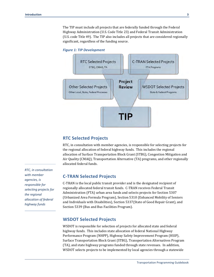The TIP must include all projects that are federally funded through the Federal Highway Administration (U.S. Code Title 23) and Federal Transit Administration (U.S. code Title 49). The TIP also includes all projects that are considered regionally significant, regardless of the funding source.

#### *Figure 1: TIP Development*



#### **RTC Selected Projects**

RTC, in consultation with member agencies, is responsible for selecting projects for the regional allocation of federal highway funds. This includes the regional allocation of Surface Transportation Block Grant (STBG), Congestion Mitigation and Air Quality (CMAQ), Transportation Alternative (TA) programs, and other regionally allocated federal funds.

#### **C-TRAN Selected Projects**

C-TRAN is the local public transit provider and is the designated recipient of regionally allocated federal transit funds. C-TRAN receives Federal Transit Administration (FTA) urban area funds and selects projects for Section 5307 (Urbanized Area Formula Program), Section 5310 (Enhanced Mobility of Seniors and Individuals with Disabilities), Section 5337(State of Good Repair Grant), and Section 5339 (Bus and Bus Facilities Program).

#### **WSDOT Selected Projects**

WSDOT is responsible for selection of projects for allocated state and federal highway funds. This includes state allocation of federal National Highway Performance Program (NHPP), Highway Safety Improvement Program (HSIP), Surface Transportation Block Grant (STBG), Transportation Alternatives Program (TA), and state highway programs funded through state revenues. In addition, WSDOT selects projects to be implemented by local agencies through a statewide

*RTC, in consultation with member agencies, is responsible for selecting projects for the regional allocation of federal highway funds*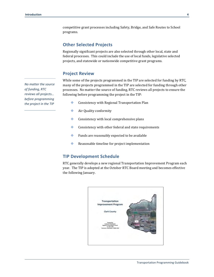competitive grant processes including Safety, Bridge, and Safe Routes to School programs.

#### **Other Selected Projects**

Regionally significant projects are also selected through other local, state and federal processes. This could include the use of local funds, legislative selected projects, and statewide or nationwide competitive grant programs.

#### **Project Review**

While some of the projects programmed in the TIP are selected for funding by RTC, many of the projects programmed in the TIP are selected for funding through other processes. No matter the source of funding, RTC reviews all projects to ensure the following before programming the project in the TIP:

- Consistency with Regional Transportation Plan
- **Air Quality conformity**
- **Consistency with local comprehensive plans**
- **Consistency with other federal and state requirements**
- Funds are reasonably expected to be available
- **Reasonable timeline for project implementation**

#### **TIP Development Schedule**

RTC generally develops a new regional Transportation Improvement Program each year. The TIP is adopted at the October RTC Board meeting and becomes effective the following January.



*No matter the source of funding, RTC reviews all projects… before programming the project in the TIP*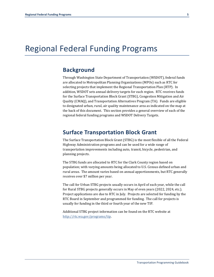## Regional Federal Funding Programs

## **Background**

Through Washington State Department of Transportation (WSDOT), federal funds are allocated to Metropolitan Planning Organizations (MPOs) such as RTC for selecting projects that implement the Regional Transportation Plan (RTP). In addition, WSDOT sets annual delivery targets for each region. RTC receives funds for the Surface Transportation Block Grant (STBG), Congestion Mitigation and Air Quality (CMAQ), and Transportation Alternatives Program (TA). Funds are eligible to designated urban, rural, air quality maintenance area as indicated on the map at the back of this document. This section provides a general overview of each of the regional federal funding programs and WSDOT Delivery Targets.

### **Surface Transportation Block Grant**

The Surface Transportation Block Grant (STBG) is the most flexible of all the Federal Highway Administration programs and can be used for a wide range of transportation improvements including auto, transit, bicycle, pedestrian, and planning projects.

The STBG funds are allocated to RTC for the Clark County region based on population; with varying amounts being allocated to U.S. Census defined urban and rural areas. The amount varies based on annual apportionments, but RTC generally receives over \$7 million per year.

The call for Urban STBG projects usually occurs in April of each year, while the call for Rural STBG projects generally occurs in May of even years (2022, 2024, etc.). Project applications are due to RTC in July. Projects are selected for funding by the RTC Board in September and programmed for funding. The call for projects is usually for funding in the third or fourth year of the new TIP.

Additional STBG project information can be found on the RTC website at http://rtc.wa.gov/programs/tip.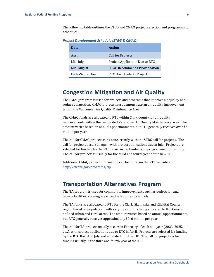The following table outlines the STBG and CMAQ project selection and programming schedule:

| Date            | Action                         |
|-----------------|--------------------------------|
| April           | Call for Projects              |
| Mid-July        | Project Application Due to RTC |
| Mid-August      | RTAC Recommends Prioritization |
| Early-September | RTC Board Selects Projects     |

*Project Development Schedule (STBG & CMAQ)* 

## **Congestion Mitigation and Air Quality**

The CMAQ program is used for projects and programs that improve air quality and reduce congestion. CMAQ projects must demonstrate an air quality improvement within the Vancouver Air Quality Maintenance Area.

The CMAQ funds are allocated to RTC within Clark County for air quality improvements within the designated Vancouver Air Quality Maintenance area. The amount varies based on annual apportionments, but RTC generally receives over \$3 million per year.

The call for CMAQ projects runs concurrently with the STBG call for projects. The call for projects occurs in April, with project applications due in July. Projects are selected for funding by the RTC Board in September and programmed for funding. The call for projects is usually for the third and fourth year of the new TIP.

Additional CMAQ project information can be found on the RTC website at http://rtc.wa.gov/programs/tip.

### **Transportation Alternatives Program**

The TA program is used for community improvements such as pedestrian and bicycle facilities, viewing areas, and safe routes to schools.

The TA funds are allocated to RTC for the Clark, Skamania, and Klickitat County region based on population; with varying amounts being allocated to U.S. Census defined urban and rural areas. The amount varies based on annual apportionments, but RTC generally receives approximately \$0. 6 million per year.

The call for TA projects usually occurs in February of each odd year (2023, 2025,, etc.), with project applications due to RTC in April. Projects are selected for funding by the RTC Board by July and amended into the TIP. The call for projects is for funding usually in the third and fourth year of the TIP.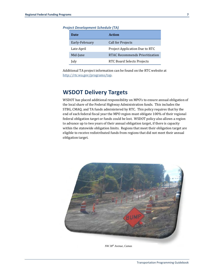| Date           | Action                                |
|----------------|---------------------------------------|
| Early-February | Call for Projects                     |
| Late-April     | Project Application Due to RTC        |
| Mid-June       | <b>RTAC Recommends Prioritization</b> |
| July           | RTC Board Selects Projects            |

*Project Development Schedule (TA)* 

Additional TA project information can be found on the RTC website at http://rtc.wa.gov/programs/tap.

## **WSDOT Delivery Targets**

WSDOT has placed additional responsibility on MPO's to ensure annual obligation of the local share of the Federal Highway Administration funds. This includes the STBG, CMAQ, and TA funds administered by RTC. This policy requires that by the end of each federal fiscal year the MPO region must obligate 100% of their regional federal obligation target or funds could be lost. WSDOT policy also allows a region to advance up to two years of their annual obligation target, if there is capacity within the statewide obligation limits. Regions that meet their obligation target are eligible to receive redistributed funds from regions that did not meet their annual obligation target.



*NW 38th Avenue, Camas*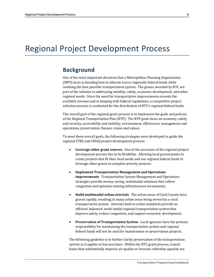## Regional Project Development Process

## **Background**

One of the most important decisions that a Metropolitan Planning Organization (MPO) faces is deciding how to allocate scarce regionally federal funds while realizing the best possible transportation system. The grants awarded by RTC are part of the solution to addressing mobility, safety, economic development, and other regional needs. Since the need for transportation improvements exceeds the available revenue and in keeping with federal regulations, a competitive project selection process is conducted for the distribution of RTC's regional federal funds.

The overall goal of the regional grant process is to implement the goals and policies of the Regional Transportation Plan (RTP). The RTP goals focus on economy, safety and security, accessibility and mobility, environment, efficiencies, management and operations, preservation, finance, vision and values.

To meet these overall goals, the following strategies were developed to guide the regional STBG and CMAQ project development process:

- **Leverage other grant sources**. One of the successes of the regional project development process lies in its flexibility. Allowing local governments to create projects that fit their local needs and use regional federal funds to leverage other grants to complete priority projects.
- **Implement Transportation Management and Operations improvements**. Transportation System Management and Operations strategies provide money-saving, multimodal solutions that relieve congestion and optimize existing infrastructure investments.
- **Build multimodal urban arterials**. The urban areas of Clark County have grown rapidly, resulting in many urban areas being served by a rural transportation system. Arterials built to urban standards provide an efficient, balanced, multi-modal regional transportation system that improve safety, reduce congestion, and support economic development.
- **Preservation of Transportation System**. Local agencies have the primary responsibility for maintaining the transportation system and regional federal funds will not be used for maintenance or preservation projects.

The following guideline is to further clarify preservation of the transportation system as it applies to bus purchase. Within the RTC grant process, transit buses that substantially improve air quality or increase ridership capacity are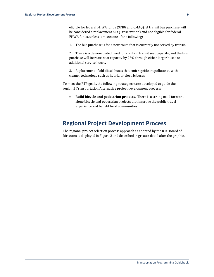eligible for federal FHWA funds (STBG and CMAQ). A transit bus purchase will be considered a replacement bus (Preservation) and not eligible for federal FHWA funds, unless it meets one of the following:

1. The bus purchase is for a new route that is currently not served by transit.

2. There is a demonstrated need for addition transit seat capacity, and the bus purchase will increase seat capacity by 25% through either larger buses or additional service hours.

3. Replacement of old diesel buses that emit significant pollutants, with cleaner technology such as hybrid or electric buses.

To meet the RTP goals, the following strategies were developed to guide the regional Transportation Alternative project development process:

 **Build bicycle and pedestrian projects**. There is a strong need for standalone bicycle and pedestrian projects that improve the public travel experience and benefit local communities.

## **Regional Project Development Process**

The regional project selection process approach as adopted by the RTC Board of Directors is displayed in Figure 2 and described in greater detail after the graphic.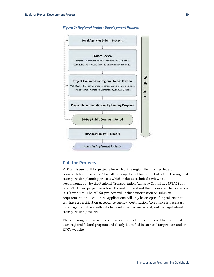



#### **Call for Projects**

RTC will issue a call for projects for each of the regionally allocated federal transportation programs. The call for projects will be conducted within the regional transportation planning process which includes technical review and recommendation by the Regional Transportation Advisory Committee (RTAC) and final RTC Board project selection. Formal notice about the process will be posted on RTC's web site. The call for projects will include information on submittal requirements and deadlines. Applications will only be accepted for projects that will have a Certification Acceptance agency. Certification Acceptance is necessary for an agency to have authority to develop, advertise, award, and manage federal transportation projects.

The screening criteria, needs criteria, and project applications will be developed for each regional federal program and clearly identified in each call for projects and on RTC's website.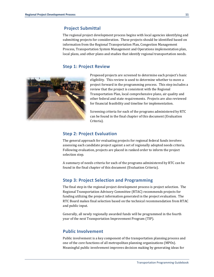#### **Project Submittal**

The regional project development process begins with local agencies identifying and submitting projects for consideration. These projects should be identified based on information from the Regional Transportation Plan, Congestion Management Process, Transportation System Management and Operations implementation plan, local plans, and other plans and studies that identify regional transportation needs.

#### **Step 1: Project Review**



Proposed projects are screened to determine each project's basic eligibility. This review is used to determine whether to move a project forward in the programming process. This step includes a review that the project is consistent with the Regional Transportation Plan, local comprehensive plans, air quality and other federal and state requirements. Projects are also reviewed for financial feasibility and timeline for implementation.

Screening criteria for each of the programs administered by RTC can be found in the final chapter of this document (Evaluation Criteria).

#### **Step 2: Project Evaluation**

The general approach for evaluating projects for regional federal funds involves assessing each candidate project against a set of regionally adopted needs criteria. Following evaluation, projects are placed in ranked order to inform the project selection step.

A summary of needs criteria for each of the programs administered by RTC can be found in the final chapter of this document (Evaluation Criteria).

#### **Step 3: Project Selection and Programming**

The final step in the regional project development process is project selection. The Regional Transportation Advisory Committee (RTAC) recommends projects for funding utilizing the project information generated in the project evaluation. The RTC Board makes final selection based on the technical recommendation from RTAC and public input.

Generally, all newly regionally awarded funds will be programmed in the fourth year of the next Transportation Improvement Program (TIP).

#### **Public Involvement**

Public involvement is a key component of the transportation planning process and one of the core functions of all metropolitan planning organizations (MPOs). Meaningful public involvement improves decision making by generating ideas for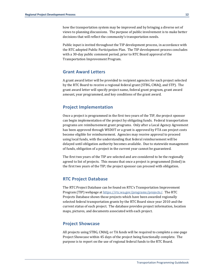how the transportation system may be improved and by bringing a diverse set of views to planning discussions. The purpose of public involvement is to make better decisions that will reflect the community's transportation needs.

Public input is invited throughout the TIP development process, in accordance with the RTC adopted Public Participation Plan. The TIP development process concludes with a 30-day public comment period, prior to RTC Board approval of the Transportation Improvement Program.

#### **Grant Award Letters**

A grant award letter will be provided to recipient agencies for each project selected by the RTC Board to receive a regional federal grant (STBG, CMAQ, and STP). The grant award letter will specify project name, federal grant program, grant award amount, year programmed, and key conditions of the grant award.

#### **Project Implementation**

Once a project is programmed in the first two years of the TIP, the project sponsor can begin implementation of the project by obligating funds. Federal transportation programs are reimbursement grant programs. Only after a Local Agency Agreement has been approved through WSDOT or a grant is approved by FTA can project costs become eligible for reimbursement. Agencies may receive approval to proceed using local funds, with the understanding that federal reimbursement will be delayed until obligation authority becomes available. Due to statewide management of funds, obligation of a project in the current year cannot be guaranteed.

The first two years of the TIP are selected and are considered to be the regionally agreed to list of projects. This means that once a project is programmed (listed) in the first two years of the TIP; the project sponsor can proceed with obligation.

#### **RTC Project Database**

The RTC Project Database can be found on RTC's Transportation Improvement Program (TIP) webpage at https://rtc.wa.gov/programs/projects/. The RTC Projects Database shows those projects which have been awarded regionally selected federal transportation grants by the RTC Board since year 2010 and the current status of each project. The database provides project information, location maps, pictures, and documents associated with each project.

#### **Project Showcase**

All projects using STBG, CMAQ, or TA funds will be required to complete a one-page Project Showcase within 45 days of the project being functionally complete. The purpose is to report on the use of regional federal funds to the RTC Board.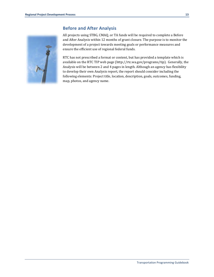

#### **Before and After Analysis**

All projects using STBG, CMAQ, or TA funds will be required to complete a Before and After Analysis within 12 months of grant closure. The purpose is to monitor the development of a project towards meeting goals or performance measures and ensure the efficient use of regional federal funds.

RTC has not prescribed a format or content, but has provided a template which is available on the RTC TIP web page (http://rtc.wa.gov/programs/tip). Generally, the Analysis will be between 2 and 4 pages in length. Although an agency has flexibility to develop their own Analysis report, the report should consider including the following elements: Project title, location, description, goals, outcomes, funding, map, photos, and agency name.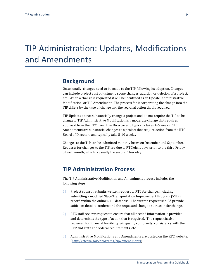## TIP Administration: Updates, Modifications and Amendments

## **Background**

Occasionally, changes need to be made to the TIP following its adoption. Changes can include project cost adjustment, scope changes, addition or deletion of a project, etc. When a change is requested it will be identified as an Update, Administrative Modification, or TIP Amendment. The process for incorporating the change into the TIP differs by the type of change and the regional action that is required.

TIP Updates do not substantially change a project and do not require the TIP to be changed. TIP Administrative Modification is a moderate change that requires approval from the RTC Executive Director and typically takes 4-6 weeks. TIP Amendments are substantial changes to a project that require action from the RTC Board of Directors and typically take 8-10 weeks.

Changes to the TIP can be submitted monthly between December and September. Requests for changes to the TIP are due to RTC eight days prior to the third Friday of each month; which is usually the second Thursday.

## **TIP Administration Process**

The TIP Administrative Modification and Amendment process includes the following steps:

- 1) Project sponsor submits written request to RTC for change, including submitting a modified State Transportation Improvement Program (STIP) record within the online STIP database. The written request should provide sufficient detail to understand the requested change and reason for change.
- 2) RTC staff reviews request to ensure that all needed information is provided and determines the type of action that is required. The request is also reviewed for financial feasibility, air quality conformity, consistency with the RTP and state and federal requirements, etc.
- 3) Administrative Modifications and Amendments are posted on the RTC website: (http://rtc.wa.gov/programs/tip/amendments).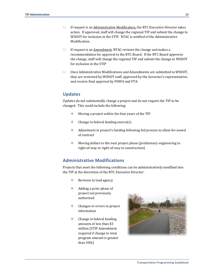- 4) If request is an Administrative Modification, the RTC Executive Director takes action. If approved, staff will change the regional TIP and submit the change to WSDOT for inclusion in the STIP. RTAC is notified of the Administrative Modification.
- 5) If request is an Amendment, RTAC reviews the change and makes a recommendation for approval to the RTC Board. If the RTC Board approves the change, staff will change the regional TIP and submit the change to WSDOT for inclusion in the STIP
- 6) Once Administrative Modifications and Amendments are submitted to WSDOT, they are reviewed by WSDOT staff, approved by the Governor's representative, and receive final approval by FHWA and FTA.

#### **Updates**

Updates do not substantially change a project and do not require the TIP to be changed. This could include the following:

- Moving a project within the four years of the TIP
- Change in federal funding source(s)
- Adjustment in project's funding following bid process to allow for award of contract
- Moving dollars to the next project phase (preliminary engineering to right-of-way or right-of-way to construction)

#### **Administrative Modifications**

Projects that meet the following conditions can be administratively modified into the TIP at the discretion of the RTC Executive Director:

- Revision to lead agency
- Adding a prior phase of project not previously authorized
- Changes or errors in project information
- Change in federal funding amounts of less than \$3 million (STIP Amendment required if change to total program amount is greater than 30%)

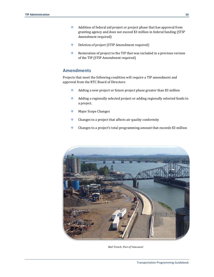- Addition of federal aid project or project phase that has approval from granting agency and does not exceed \$3 million in federal funding (STIP Amendment required)
- ◆ Deletion of project (STIP Amendment required)
- Restoration of project to the TIP that was included in a previous version of the TIP (STIP Amendment required)

#### **Amendments**

Projects that meet the following condition will require a TIP amendment and approval from the RTC Board of Directors:

- Adding a new project or future project phase greater than \$3 million
- Adding a regionally selected project or adding regionally selected funds to a project.
- **Major Scope Changes**
- Changes to a project that affects air quality conformity
- Changes to a project's total programming amount that exceeds \$3 million



*Rail Trench, Port of Vancouver*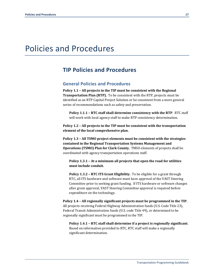## Policies and Procedures

### **TIP Policies and Procedures**

#### **General Policies and Procedures**

**Policy 1.1 – All projects in the TIP must be consistent with the Regional Transportation Plan (RTP).** To be consistent with the RTP, projects must be identified as an RTP Capital Project Solution or be consistent from a more general series of recommendations such as safety and preservation.

**Policy 1.1.1 – RTC staff shall determine consistency with the RTP**. RTC staff will work with local agency staff to make RTP consistency determination.

**Policy 1.2 – All projects in the TIP must be consistent with the transportation element of the local comprehensive plan.**

**Policy 1.3 – All TSMO project elements must be consistent with the strategies contained in the Regional Transportation Systems Management and Operations (TSMO) Plan for Clark County.** TMSO elements of projects shall be coordinated with agency transportation operations staff.

**Policy 1.3.1 – At a minimum all projects that open the road for utilities must include conduit.**

**Policy 1.3.2 – RTC ITS Grant Eligibility.** To be eligible for a grant through RTC, all ITS hardware and software must have approval of the VAST Steering Committee prior to seeking grant funding. If ITS hardware or software changes after grant approval, VAST Steering Committee approval is required before expenditure on the technology.

**Policy 1.4 – All regionally significant projects must be programmed in the TIP.** All projects receiving Federal Highway Administration funds (U.S. Code Title 23), Federal Transit Administration funds (U.S. code Title 49), or determined to be regionally significant must be programmed in the TIP.

**Policy 1.4.1 – RTC staff shall determine if a project is regionally significant**. Based on information provided to RTC, RTC staff will make a regionally significant determination.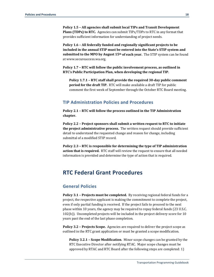**Policy 1.5 – All agencies shall submit local TIPs and Transit Development Plans (TDPs) to RTC.** Agencies can submit TIPs/TDPs to RTC in any format that provides sufficient information for understanding of project needs.

**Policy 1.6 – All federally funded and regionally significant projects to be included in the annual STIP must be entered into the State's STIP system and submitted to the MPO by August 15th of each year.** The STIP system can be found at www.secureaccess.wa.org.

**Policy 1.7 – RTC will follow the public involvement process, as outlined in RTC's Public Participation Plan, when developing the regional TIP.**

**Policy 1.7.1 – RTC staff shall provide the required 30‐day public comment period for the draft TIP.** RTC will make available a draft TIP for public comment the first week of September through the October RTC Board meeting.

#### **TIP Administration Policies and Procedures**

**Policy 2.1 – RTC will follow the process outlined in the TIP Administration chapter.**

**Policy 2.2 – Project sponsors shall submit a written request to RTC to initiate the project administrative process.** The written request should provide sufficient detail to understand the requested change and reason for change, including submittal of a modified STIP record.

**Policy 2.3 – RTC is responsible for determining the type of TIP administration action that is required.** RTC staff will review the request to ensure that all needed information is provided and determine the type of action that is required.

### **RTC Federal Grant Procedures**

#### **General Policies**

**Policy 3.1 – Projects must be completed.** By receiving regional federal funds for a project, the respective applicant is making the commitment to complete the project, even if only partial funding is received. If the project fails to proceed to the next phase within 10 years, the agency may be required to repay federal funds (23 U.S.C. 102(b)). Uncompleted projects will be included in the project delivery score for 10 years past the end of the last phase completion.

**Policy 3.2 – Projects Scope.** Agencies are required to deliver the project scope as outlined in the RTC grant application or must be granted a scope modification.

**Policy 3.2.1 – Scope Modification**. Minor scope changes can be granted by the RTC Executive Director after notifying RTAC. Major scope changes must be approved by RTAC and RTC Board after the following steps are completed: 1)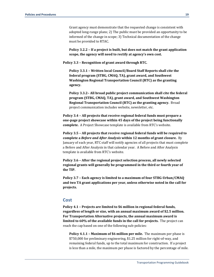Grant agency must demonstrate that the requested change is consistent with adopted long-range plans; 2) The public must be provided an opportunity to be informed of the change in scope; 3) Technical documentation of the change must be provided to RTAC.

**Policy 3.2.2 – If a project is built, but does not match the grant application scope, the agency will need to rectify at agency's own cost.**

**Policy 3.3 – Recognition of grant award through RTC.**

**Policy 3.3.1 – Written local Council/Board Staff Reports shall cite the federal program (STBG, CMAQ, TA), grant award, and Southwest Washington Regional Transportation Council (RTC) as the granting agency.**

**Policy 3.3.2– All broad public project communication shall cite the federal program (STBG, CMAQ, TA), grant award, and Southwest Washington Regional Transportation Council (RTC) as the granting agency.** Broad project communication includes website, newsletter, etc.

**Policy 3.4 – All projects that receive regional federal funds must prepare a one‐page project showcase within 45 days of the project being functionally** complete. A Project Showcase template is available from RTC's website.

**Policy 3.5 – All projects that receive regional federal funds will be required to complete a** *Before and After Analysis* **within 12 months of grant closure.** By January of each year, RTC staff will notify agencies of all projects that must complete a Before and After Analysis in that calendar year. A Before and After Analysis template is available from RTC's website.

**Policy 3.6 – After the regional project selection process, all newly selected regional grants will generally be programmed in the third or fourth year of the TIP.** 

**Policy 3.7 – Each agency is limited to a maximum of four STBG‐Urban/CMAQ and two TA grant applications per year, unless otherwise noted in the call for projects.**

#### **Cost**

**Policy 4.1 – Projects are limited to \$6 million in regional federal funds, regardless of length or size, with an annual maximum award of \$2.5 million. For Transportation Alternative projects, the annual maximum award is limited to 60% of the available funds in the call for projects.** The project can reach the cap based on one of the following sub-policies:

**Policy 4.1.1 – Maximum of \$6 million per mile.** The maximum per phase is \$750,000 for preliminary engineering, \$1.25 million for right-of-way, and remaining federal funds, up to the total maximum for construction. If a project is less than a mile, the maximum per phase is factored by the percentage of mile.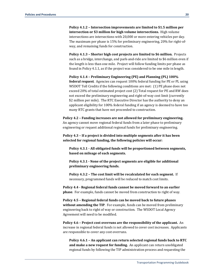**Policy 4.1.2 – Intersection improvements are limited to \$1.5 million per intersection or \$3 million for high volume intersections.** High volume intersections are intersections with 20,000 or more entering vehicles per day. The maximum per phase is 15% for preliminary engineering, 20% for right-ofway, and remaining funds for construction.

**Policy 4.1.3 – Shorter high cost projects are limited to \$6 million.** Projects such as a bridge, interchange, and park-and-ride are limited to \$6 million even if the length is less than one mile. Project will follow funding limits per phase as found in Policy 4.1.1, as if the project was considered to be one mile in length.

**Policy 4.1.4 – Preliminary Engineering (PE) and Planning (PL) 100% federal request**. Agencies can request 100% federal funding for PE or PL using WSDOT Toll Credits if the following conditions are met: (1) PE phase does not exceed 20% of total estimated project cost (2) Total request for PE and RW does not exceed the preliminary engineering and right-of-way cost limit (currently \$2 million per mile). The RTC Executive Director has the authority to deny an applicant eligibility for 100% federal funding if an agency is deemed to have too many RTC grants that have not proceeded to construction.

**Policy 4.2 – Funding increases are not allowed for preliminary engineering.** An agency cannot move regional federal funds from a later phase to preliminary engineering or request additional regional funds for preliminary engineering.

**Policy 4.3 – If a project is divided into multiple segments after it has been selected for regional funding, the following policies will occur:**

**Policy 4.3.1 ‐ All obligated funds will be proportioned between segments, based on mileage of each segments.**

**Policy 4.3.1 ‐ None of the project segments are eligible for additional preliminary engineering funds.**

**Policy 4.3.2 – The cost limit will be recalculated for each segment.** If necessary, programmed funds will be reduced to match cost limits.

**Policy 4.4 ‐ Regional federal funds cannot be moved forward to an earlier phase**. For example, funds cannot be moved from construction to right of way.

**Policy 4.5 – Regional federal funds can be moved back to future phases without amending the TIP**. For example, funds can be moved from preliminary engineering back to right of way or construction. The WSDOT Local Agency Agreement will need to be modified.

**Policy 4.6 – Project cost overruns are the responsibility of the applicant.** An increase in regional federal funds is not allowed to cover cost increases. Applicants are responsible to cover any cost overruns.

**Policy 4.6.1 – An applicant can return selected regional funds back to RTC and make a new request for funding.** An applicant can return unobligated regional funds by following the TIP administration process and requesting the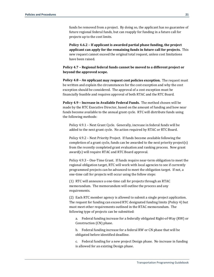funds be removed from a project. By doing so, the applicant has no guarantee of future regional federal funds, but can reapply for funding in a future call for projects up to the cost limits.

**Policy 4.6.2 – If applicant is awarded partial phase funding, the project applicant can apply for the remaining funds in future call for projects.** This new request cannot exceed the original total request, unless cost limitations have been raised.

**Policy 4.7 – Regional federal funds cannot be moved to a different project or beyond the approved scope.**

**Policy 4.8 – An applicant may request cost policies exception.** The request must be written and explain the circumstances for the cost exception and why the cost exception should be considered. The approval of a cost exception must be financially feasible and requires approval of both RTAC and the RTC Board.

**Policy 4.9 – Increase in Available Federal Funds.** The method chosen will be made by the RTC Executive Director, based on the amount of funding and how near funds become available to the annual grant cycle. RTC will distribute funds using the following methods:

Policy 4.9.1 – Next Grant Cycle. Generally, increase in federal funds will be added to the next grant cycle. No action required by RTAC or RTC Board.

Policy 4.9.2 – Next Priority Project. If funds become available following the completion of a grant cycle, funds can be awarded to the next priority project(s) from the recently completed grant evaluation and ranking process. New grant award(s) will require RTAC and RTC Board approval.

Policy 4.9.3 – One-Time Grant. If funds require near-term obligation to meet the regional obligation target, RTC will work with local agencies to see if currently programmed projects can be advanced to meet the obligation target. If not, a one-time call for projects will occur using the follow steps:

(1) RTC will announce a one-time call for projects through an RTAC memorandum. The memorandum will outline the process and any requirements.

(2) Each RTC member agency is allowed to submit a single project application. The request for funding can exceed RTC designated funding limits (Policy 4) but must meet other requirements outlined in the RTAC memorandum. The following type of projects can be submitted:

a. Federal funding increase for a federally obligated Right-of-Way (RW) or Construction (CN) phase.

b. Federal funding increase for a federal RW or CN phase that will be obligated before identified deadline.

c. Federal funding for a new project Design phase. No increase in funding is allowed for an existing Design phase.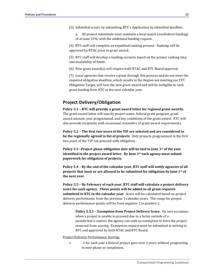(3) Submittal occurs by submitting RTC's Application by identified deadline.

a. All project submittals must maintain a local match (nonfederal funding) of at least 15%, with the additional funding request.

(4) RTC staff will complete an expedited ranking process. Ranking will be approved by RTAC prior to grant award.

(5) RTC staff will develop a funding scenario based on the project ranking step and availability of funds.

(6) New grant award(s) will require both RTAC and RTC Board approval.

(7) Local agencies that receive a grant through this process and do not meet the required obligation deadline, which results in the Region not meeting our FFY Obligation Target, will lose the new grant award and will be ineligible to seek grant funding from RTC in the next calendar year.

#### **Project Delivery/Obligation**

**Policy 5.1 – RTC will provide a grant award letter for regional grant awards.** The grant award letter will specify project name, federal grant program, grant award amount, year programmed, and key conditions of the grant award. RTC will also provide recipients with occasional reminders of grant award requirements.

**Policy 5.2 – The first two‐years of the TIP are selected and are considered to be the regionally agreed to list of projects.** Only projects programmed in the first two years of the TIP can proceed with obligation.

**Policy 5.3 –Project phase obligation date will be tied to June 1st of the year identified in the project award letter. By June 1st each agency must submit paperwork for obligation of projects.**

**Policy 5.4 – By the end of the calendar year, RTC staff will notify agencies of all projects that must or are allowed to be submitted for obligation by June 1st of the next year.**

**Policy 5.5 – By February of each year, RTC staff will calculate a project delivery score for each agency. These points will be added to all grant requests submitted to RTC in the calendar year.** Score will be calculated based on project delivery performance from the previous 3 calendar years. The range for project delivery performance points will be from negative 2 to positive 2.

**Policy 5.5.1 – Exemption from Project Delivery Score.** On rare occasions when a project is unable to proceed due to a factor outside of a jurisdiction's control, the agency can seek an exemption to have the project removed from scoring. Exemption request must be submitted in writing to RTC and approved by both RTAC and RTC Board.

Project Delivery Performance Scoring:

• 1 for each year a federal project goes over 3 years without progressing to next phase or completion.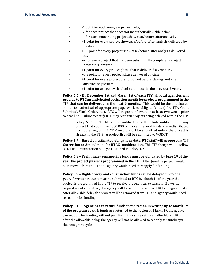- -2 for each project that does not meet their allowable delay.
- -1 for each outstanding project showcase/before-after analysis.
- +1 point for every project showcase/before-after analysis delivered by due date.
- +0.5 point for every project showcase/before-after analysis delivered late.
- +2 for every project that has been substantially completed (Project Showcase submitted).
- +1 point for every project phase that is delivered a year early.
- +0.5 point for every project phase delivered on-time.
- +1 point for every project that provided before, during, and after construction pictures.
- +1 point for an agency that had no projects in the previous 3 years.

**Policy 5.6 – By December 1st and March 1st of each FFY, all local agencies will provide to RTC an anticipated obligation month for projects programmed in the TIP that can be delivered in the next 9 months.** This would be the anticipated month for submittal of appropriate paperwork to obligate funds (LAA, FTA Grant Submittal, Work Order, etc.). RTC will request information at least two weeks prior to deadline. Failure to notify RTC may result in projects being delayed within the TIP.

Policy 5.6.1 – The March 1st notification will include notification of any project that could use \$500,000 or more if federal funds are redistributed from other regions. A STIP record must be submitted unless the project is already in the STIP. A project list will be submitted to WSDOT.

**Policy 5.7 – Based on estimated obligations date, RTC staff will proposed a TIP Correction or Amendment for RTAC consideration.** This TIP change would follow RTC TIP administration policy as outlined in Policy 4.9.

**Policy 5.8 – Preliminary engineering funds must be obligated by June 1st of the year the project phase is programmed in the TIP.** After June the project would be removed from the TIP and agency would need to reapply for funding.

**Policy 5.9 – Right‐of‐way and construction funds can be delayed up to one year.** A written request must be submitted to RTC by March 1<sup>st</sup> of the year the project is programmed in the TIP to receive the one-year extension. If a written request is not submitted, the agency will have until December  $31<sup>st</sup>$  to obligate funds. After allowable delay the project will be removed from TIP and agency would need to reapply for funding.

**Policy 5.10 – Agencies can return funds to the region in writing up to March 1st of the program year.** If funds are returned to the region by March 1<sup>st</sup>, the agency can reapply for funding without penalty. If funds are returned after March 1st or after the allowable delay, the agency will not be allowed to reapply for funding in the next grant cycle.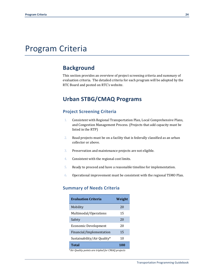## Program Criteria

### **Background**

This section provides an overview of project screening criteria and summary of evaluation criteria. The detailed criteria for each program will be adopted by the RTC Board and posted on RTC's website.

## **Urban STBG/CMAQ Programs**

#### **Project Screening Criteria**

- 1. Consistent with Regional Transportation Plan, Local Comprehensive Plans, and Congestion Management Process. (Projects that add capacity must be listed in the RTP)
- 2. Road projects must be on a facility that is federally classified as an urban collector or above.
- 3. Preservation and maintenance projects are not eligible.
- 4. Consistent with the regional cost limits.
- 5. Ready to proceed and have a reasonable timeline for implementation.
- 6. Operational improvement must be consistent with the regional TSMO Plan.

#### **Summary of Needs Criteria**

| Evaluation Criteria         | Weight |
|-----------------------------|--------|
| Mobility                    | 20     |
| Multimodal/Operations       | 15     |
| Safety                      | 20     |
| Economic Development        | 20     |
| Financial/Implementation    | 15     |
| Sustainability/Air Quality* | 10     |
| Total                       | 100    |
| .                           |        |

\**Air Quality points are tripled for CMAQ projects*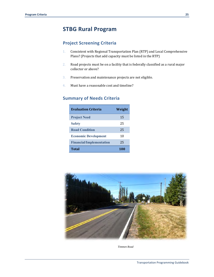## **STBG Rural Program**

#### **Project Screening Criteria**

- 1. Consistent with Regional Transportation Plan (RTP) and Local Comprehensive Plans? (Projects that add capacity must be listed in the RTP)
- 2. Road projects must be on a facility that is federally classified as a rural major collector or above?
- 3. Preservation and maintenance projects are not eligible.
- 4. Must have a reasonable cost and timeline?

#### **Summary of Needs Criteria**

| Evaluation Criteria             | Weight |
|---------------------------------|--------|
| <b>Project Need</b>             | 15     |
| <b>Safety</b>                   | 25     |
| <b>Road Condition</b>           | 25     |
| <b>Economic Development</b>     | 10     |
| <b>Financial/Implementation</b> | 25     |
| <b>Total</b>                    | 100    |



*Timmen Road*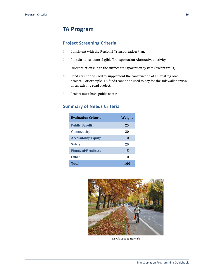## **TA Program**

#### **Project Screening Criteria**

- 1. Consistent with the Regional Transportation Plan.
- 2. Contain at least one eligible Transportation Alternatives activity.
- 3. Direct relationship to the surface transportation system (except trails).
- 4. Funds cannot be used to supplement the construction of an existing road project. For example, TA funds cannot be used to pay for the sidewalk portion on an existing road project.
- 5. Project must have public access.

### **Summary of Needs Criteria**

| <b>Evaluation Criteria</b>  | Weight |
|-----------------------------|--------|
| <b>Public Benefit</b>       | 25     |
| <b>Connectivity</b>         | 20     |
| <b>Accessibility/Equity</b> | 10     |
| <b>Safety</b>               | 20     |
| <b>Financial/Readiness</b>  | 15     |
| <b>Other</b>                | 10     |
| <b>Total</b>                | 100    |



*Bicycle Lane & Sidewalk*